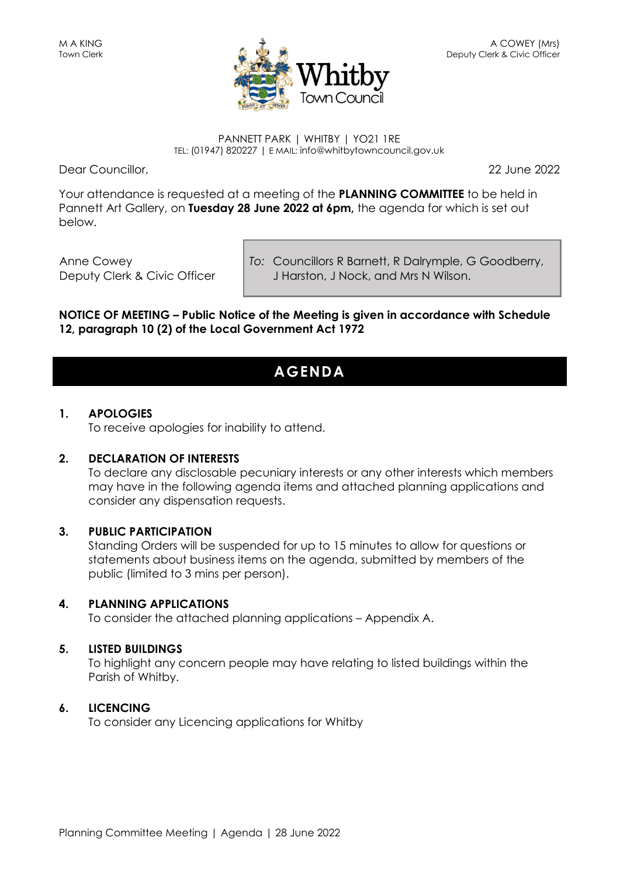

#### PANNETT PARK | WHITBY | YO21 1RE TEL: (01947) 820227 | E MAIL: info@whitbytowncouncil.gov.uk

Dear Councillor, 22 June 2022

Your attendance is requested at a meeting of the **PLANNING COMMITTEE** to be held in Pannett Art Gallery, on **Tuesday 28 June 2022 at 6pm,** the agenda for which is set out below.

Anne Cowey Deputy Clerk & Civic Officer *To:* Councillors R Barnett, R Dalrymple, G Goodberry, J Harston, J Nock, and Mrs N Wilson.

**NOTICE OF MEETING – Public Notice of the Meeting is given in accordance with Schedule 12, paragraph 10 (2) of the Local Government Act 1972**

## **AGENDA**

### **1. APOLOGIES**

To receive apologies for inability to attend.

### **2. DECLARATION OF INTERESTS**

To declare any disclosable pecuniary interests or any other interests which members may have in the following agenda items and attached planning applications and consider any dispensation requests.

### **3. PUBLIC PARTICIPATION**

Standing Orders will be suspended for up to 15 minutes to allow for questions or statements about business items on the agenda, submitted by members of the public (limited to 3 mins per person).

### **4. PLANNING APPLICATIONS**

To consider the attached planning applications – Appendix A.

### **5. LISTED BUILDINGS**

To highlight any concern people may have relating to listed buildings within the Parish of Whitby.

### **6. LICENCING**

To consider any Licencing applications for Whitby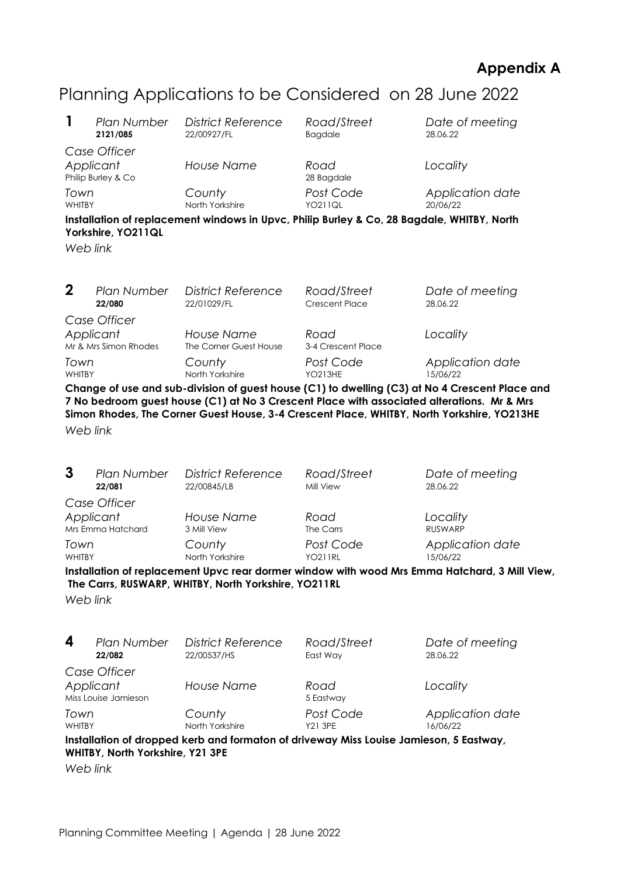### **Appendix A**

# Planning Applications to be Considered on 28 June 2022

| 1                                                                                                                                                                                                                                                                                                      | <b>Plan Number</b> | <b>District Reference</b>            | Road/Street                | Date of meeting            |  |  |  |
|--------------------------------------------------------------------------------------------------------------------------------------------------------------------------------------------------------------------------------------------------------------------------------------------------------|--------------------|--------------------------------------|----------------------------|----------------------------|--|--|--|
|                                                                                                                                                                                                                                                                                                        | 2121/085           | 22/00927/FL                          | <b>Bagdale</b>             | 28.06.22                   |  |  |  |
| Case Officer<br>Applicant<br>Philip Burley & Co                                                                                                                                                                                                                                                        |                    | <b>House Name</b>                    | Road<br>28 Bagdale         | Locality                   |  |  |  |
| Town                                                                                                                                                                                                                                                                                                   |                    | County                               | Post Code                  | Application date           |  |  |  |
| <b>WHITBY</b>                                                                                                                                                                                                                                                                                          |                    | North Yorkshire                      | <b>YO211QL</b>             | 20/06/22                   |  |  |  |
| Installation of replacement windows in Upvc, Philip Burley & Co, 28 Bagdale, WHITBY, North<br>Yorkshire, YO211QL<br>Web link                                                                                                                                                                           |                    |                                      |                            |                            |  |  |  |
| $\mathbf 2$                                                                                                                                                                                                                                                                                            | <b>Plan Number</b> | <b>District Reference</b>            | Road/Street                | Date of meeting            |  |  |  |
|                                                                                                                                                                                                                                                                                                        | 22/080             | 22/01029/FL                          | Crescent Place             | 28.06.22                   |  |  |  |
| Case Officer<br>Applicant<br>Mr & Mrs Simon Rhodes                                                                                                                                                                                                                                                     |                    | House Name<br>The Corner Guest House | Road<br>3-4 Crescent Place | Locality                   |  |  |  |
| Town                                                                                                                                                                                                                                                                                                   |                    | County                               | Post Code                  | Application date           |  |  |  |
| <b>WHITBY</b>                                                                                                                                                                                                                                                                                          |                    | North Yorkshire                      | <b>YO213HE</b>             | 15/06/22                   |  |  |  |
| Change of use and sub-division of guest house (C1) to dwelling (C3) at No 4 Crescent Place and<br>7 No bedroom guest house (C1) at No 3 Crescent Place with associated alterations. Mr & Mrs<br>Simon Rhodes, The Corner Guest House, 3-4 Crescent Place, WHITBY, North Yorkshire, YO213HE<br>Web link |                    |                                      |                            |                            |  |  |  |
| 3                                                                                                                                                                                                                                                                                                      | Plan Number        | <b>District Reference</b>            | Road/Street                | Date of meeting            |  |  |  |
|                                                                                                                                                                                                                                                                                                        | 22/081             | 22/00845/LB                          | Mill View                  | 28.06.22                   |  |  |  |
| Case Officer<br>Applicant<br>Mrs Emma Hatchard                                                                                                                                                                                                                                                         |                    | <b>House Name</b><br>3 Mill View     | Road<br>The Carrs          | Locality<br><b>RUSWARP</b> |  |  |  |
| Town                                                                                                                                                                                                                                                                                                   |                    | County                               | Post Code                  | Application date           |  |  |  |
| <b>WHITBY</b>                                                                                                                                                                                                                                                                                          |                    | North Yorkshire                      | <b>YO211RL</b>             | 15/06/22                   |  |  |  |

**Installation of replacement Upvc rear dormer window with wood Mrs Emma Hatchard, 3 Mill View, The Carrs, RUSWARP, WHITBY, North Yorkshire, YO211RL**

*Web link*

**4** *Plan Number District Reference Road/Street Date of meeting* 22/00537/HS *Case Officer Applicant House Name Road Locality* Miss Louise Jamieson 5 Eastway *Town County Post Code Application date* WHITBY North Yorkshire Y21 3PE 16/06/22 **Installation of dropped kerb and formaton of driveway Miss Louise Jamieson, 5 Eastway, WHITBY, North Yorkshire, Y21 3PE**

*Web link*